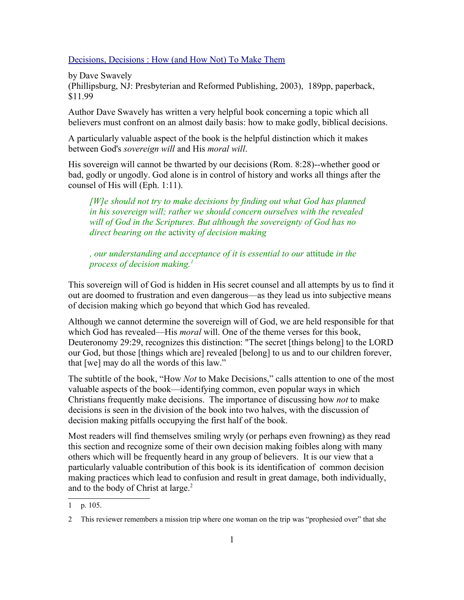Decisions, Decisions : How (and How Not) To Make Them

by Dave Swavely

(Phillipsburg, NJ: Presbyterian and Reformed Publishing, 2003), 189pp, paperback, \$11.99

Author Dave Swavely has written a very helpful book concerning a topic which all believers must confront on an almost daily basis: how to make godly, biblical decisions.

A particularly valuable aspect of the book is the helpful distinction which it makes between God's *sovereign will* and His *moral will*.

His sovereign will cannot be thwarted by our decisions (Rom. 8:28)--whether good or bad, godly or ungodly. God alone is in control of history and works all things after the counsel of His will (Eph. 1:11).

*[W]e should not try to make decisions by finding out what God has planned in his sovereign will; rather we should concern ourselves with the revealed will of God in the Scriptures. But although the sovereignty of God has no direct bearing on the* activity *of decision making*

*, our understanding and acceptance of it is essential to our* attitude *in the process of decision making.<sup>1</sup>*

This sovereign will of God is hidden in His secret counsel and all attempts by us to find it out are doomed to frustration and even dangerous—as they lead us into subjective means of decision making which go beyond that which God has revealed.

Although we cannot determine the sovereign will of God, we are held responsible for that which God has revealed—His *moral* will. One of the theme verses for this book, Deuteronomy 29:29, recognizes this distinction: "The secret [things belong] to the LORD our God, but those [things which are] revealed [belong] to us and to our children forever, that [we] may do all the words of this law."

The subtitle of the book, "How *Not* to Make Decisions," calls attention to one of the most valuable aspects of the book—identifying common, even popular ways in which Christians frequently make decisions. The importance of discussing how *not* to make decisions is seen in the division of the book into two halves, with the discussion of decision making pitfalls occupying the first half of the book.

Most readers will find themselves smiling wryly (or perhaps even frowning) as they read this section and recognize some of their own decision making foibles along with many others which will be frequently heard in any group of believers. It is our view that a particularly valuable contribution of this book is its identification of common decision making practices which lead to confusion and result in great damage, both individually, and to the body of Christ at large. 2

<sup>1</sup> p. 105.

<sup>2</sup> This reviewer remembers a mission trip where one woman on the trip was "prophesied over" that she